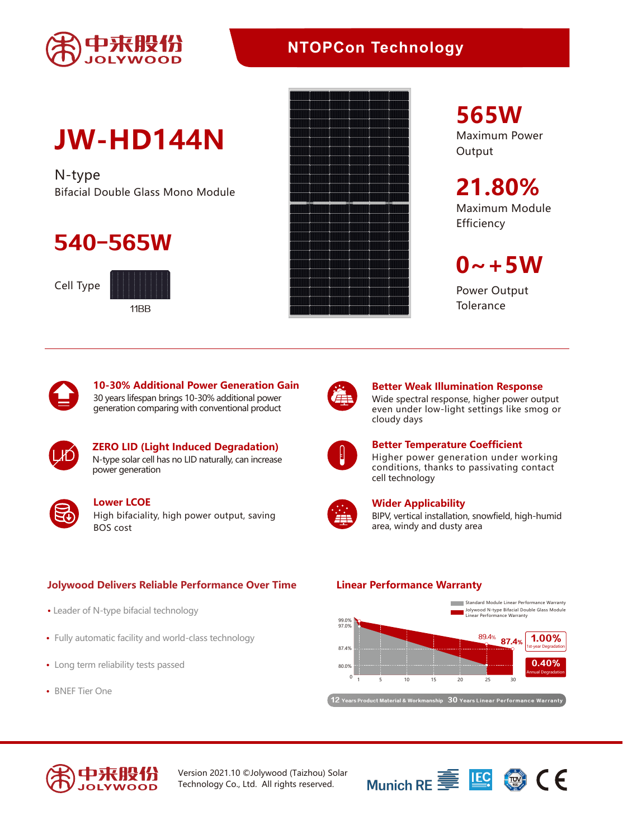

## **NTOPCon Technology**

# **JW-HD144N**

N-type Bifacial Double Glass Mono Module

## 540-565W

Cell Type





**565W**

Maximum Power **Output** 

**21.80%** Maximum Module **Efficiency** 

 $0 - +5W$ 

Power Output **Tolerance** 



**10-30% Additional Power Generation Gain** 30 years lifespan brings 10-30% additional power generation comparing with conventional product



**ZERO LID (Light Induced Degradation)** N-type solar cell has no LID naturally, can increase power generation



High bifaciality, high power output, saving BOS cost **Lower LCOE**

### **Jolywood Delivers Reliable Performance Over Time Linear Performance Warranty**

- Leader of N-type bifacial technology
- Fully automatic facility and world-class technology
- Long term reliability tests passed
- BNEF Tier One



### **Better Weak Illumination Response** Wide spectral response, higher power output

even under low-light settings like smog or cloudy days



### **Better Temperature Coefficient**

Higher power generation under working conditions, thanks to passivating contact cell technology



### **Wider Applicability**

BIPV, vertical installation, snowfield, high-humid area, windy and dusty area



 $\left($   $12\,$  Years Product Material & Workmanship  $\,30\,$  Years Linear Performance Warranty



Version 2021.10 ©Jolywood (Taizhou) Solar